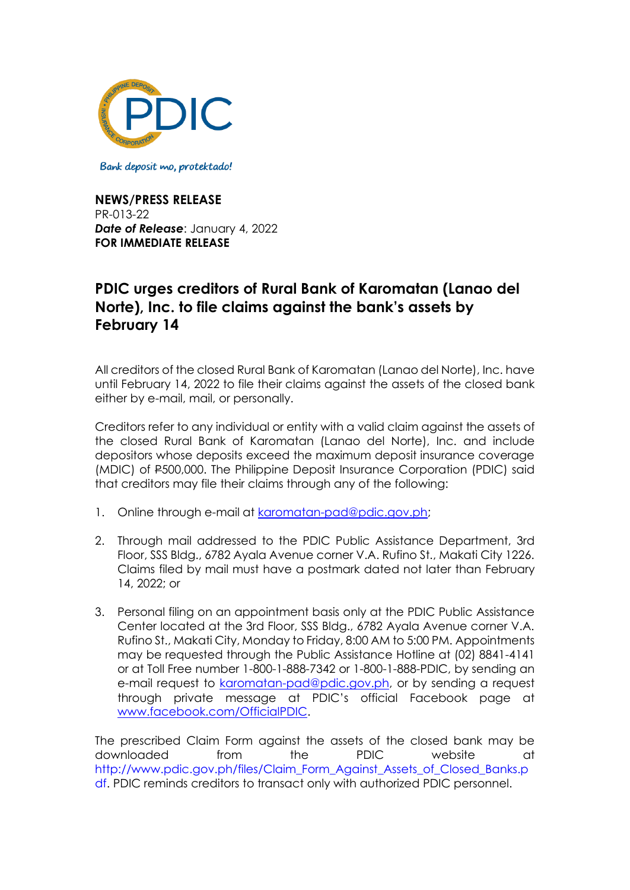

Bank deposit mo, protektado!

**NEWS/PRESS RELEASE** PR-013-22 *Date of Release*: January 4, 2022 **FOR IMMEDIATE RELEASE**

## **PDIC urges creditors of Rural Bank of Karomatan (Lanao del Norte), Inc. to file claims against the bank's assets by February 14**

All creditors of the closed Rural Bank of Karomatan (Lanao del Norte), Inc. have until February 14, 2022 to file their claims against the assets of the closed bank either by e-mail, mail, or personally.

Creditors refer to any individual or entity with a valid claim against the assets of the closed Rural Bank of Karomatan (Lanao del Norte), Inc. and include depositors whose deposits exceed the maximum deposit insurance coverage (MDIC) of P500,000. The Philippine Deposit Insurance Corporation (PDIC) said that creditors may file their claims through any of the following:

- 1. Online through e-mail at [karomatan-pad@pdic.gov.ph;](mailto:karomatan-pad@pdic.gov.ph)
- 2. Through mail addressed to the PDIC Public Assistance Department, 3rd Floor, SSS Bldg., 6782 Ayala Avenue corner V.A. Rufino St., Makati City 1226. Claims filed by mail must have a postmark dated not later than February 14, 2022; or
- 3. Personal filing on an appointment basis only at the PDIC Public Assistance Center located at the 3rd Floor, SSS Bldg., 6782 Ayala Avenue corner V.A. Rufino St., Makati City, Monday to Friday, 8:00 AM to 5:00 PM. Appointments may be requested through the Public Assistance Hotline at (02) 8841-4141 or at Toll Free number 1-800-1-888-7342 or 1-800-1-888-PDIC, by sending an e-mail request to [karomatan-pad@pdic.gov.ph,](mailto:karomatan-pad@pdic.gov.ph) or by sending a request through private message at PDIC's official Facebook page at [www.facebook.com/OfficialPDIC.](http://www.facebook.com/OfficialPDIC)

The prescribed Claim Form against the assets of the closed bank may be downloaded from the PDIC website at [http://www.pdic.gov.ph/files/Claim\\_Form\\_Against\\_Assets\\_of\\_Closed\\_Banks.p](http://www.pdic.gov.ph/files/Claim_Form_Against_Assets_of_Closed_Banks.pdf) [df.](http://www.pdic.gov.ph/files/Claim_Form_Against_Assets_of_Closed_Banks.pdf) PDIC reminds creditors to transact only with authorized PDIC personnel.